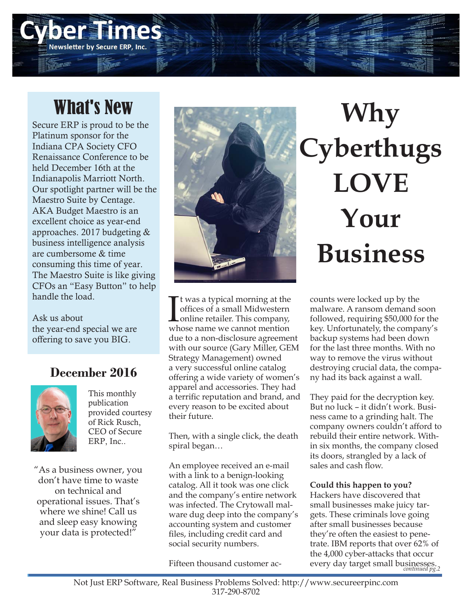# What's New

Newsletter by Secure ERP, Inc.

Secure ERP is proud to be the Platinum sponsor for the Indiana CPA Society CFO Renaissance Conference to be held December 16th at the Indianapolis Marriott North. Our spotlight partner will be the Maestro Suite by Centage. AKA Budget Maestro is an excellent choice as year-end approaches. 2017 budgeting & business intelligence analysis are cumbersome & time consuming this time of year. The Maestro Suite is like giving CFOs an "Easy Button" to help handle the load.

Ask us about the year-end special we are offering to save you BIG.

### **December 2016**



This monthly publication provided courtesy of Rick Rusch, CEO of Secure ERP, Inc..

"As a business owner, you don't have time to waste on technical and operational issues. That's where we shine! Call us and sleep easy knowing your data is protected!"



It was a typical morning at the<br>offices of a small Midwestern<br>online retailer. This company,<br>whose name we cannot mention t was a typical morning at the offices of a small Midwestern online retailer. This company, due to a non-disclosure agreement with our source (Gary Miller, GEM Strategy Management) owned a very successful online catalog offering a wide variety of women's apparel and accessories. They had a terrific reputation and brand, and every reason to be excited about their future.

Then, with a single click, the death spiral began…

An employee received an e-mail with a link to a benign-looking catalog. All it took was one click and the company's entire network was infected. The Crytowall malware dug deep into the company's accounting system and customer files, including credit card and social security numbers.

Fifteen thousand customer ac-

**Why Cyberthugs LOVE Your Business**

counts were locked up by the malware. A ransom demand soon followed, requiring \$50,000 for the key. Unfortunately, the company's backup systems had been down for the last three months. With no way to remove the virus without destroying crucial data, the company had its back against a wall.

They paid for the decryption key. But no luck – it didn't work. Business came to a grinding halt. The company owners couldn't afford to rebuild their entire network. Within six months, the company closed its doors, strangled by a lack of sales and cash flow.

#### **Could this happen to you?**

Hackers have discovered that small businesses make juicy targets. These criminals love going after small businesses because they're often the easiest to penetrate. IBM reports that over 62% of the 4,000 cyber-attacks that occur every day target small businesses. *continued pg.2*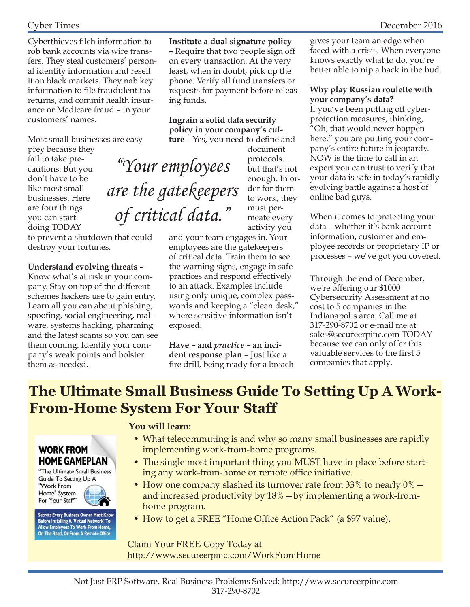Cyberthieves filch information to rob bank accounts via wire transfers. They steal customers' personal identity information and resell it on black markets. They nab key information to file fraudulent tax returns, and commit health insurance or Medicare fraud – in your customers' names.

Most small businesses are easy

prey because they fail to take precautions. But you don't have to be like most small businesses. Here are four things you can start doing TODAY

to prevent a shutdown that could destroy your fortunes.

#### **Understand evolving threats –**

Know what's at risk in your company. Stay on top of the different schemes hackers use to gain entry. Learn all you can about phishing, spoofing, social engineering, malware, systems hacking, pharming and the latest scams so you can see them coming. Identify your company's weak points and bolster them as needed.

**Institute a dual signature policy –** Require that two people sign off on every transaction. At the very least, when in doubt, pick up the phone. Verify all fund transfers or requests for payment before releasing funds.

**Ingrain a solid data security policy in your company's culture** – Yes, you need to define and

"Your employees

of critical data."

document protocols… but that's not enough. In order for them to work, they must permeate every activity you are the gatekeepers

and your team engages in. Your employees are the gatekeepers of critical data. Train them to see the warning signs, engage in safe practices and respond effectively to an attack. Examples include using only unique, complex passwords and keeping a "clean desk," where sensitive information isn't exposed.

**Have – and** *practice* **– an incident response plan** – Just like a fire drill, being ready for a breach gives your team an edge when faced with a crisis. When everyone knows exactly what to do, you're better able to nip a hack in the bud.

#### **Why play Russian roulette with your company's data?**

If you've been putting off cyberprotection measures, thinking, "Oh, that would never happen here," you are putting your company's entire future in jeopardy. NOW is the time to call in an expert you can trust to verify that your data is safe in today's rapidly evolving battle against a host of online bad guys.

When it comes to protecting your data – whether it's bank account information, customer and employee records or proprietary IP or processes – we've got you covered.

Through the end of December, we're offering our \$1000 Cybersecurity Assessment at no cost to 5 companies in the Indianapolis area. Call me at 317-290-8702 or e-mail me at sales@secureerpinc.com TODAY because we can only offer this valuable services to the first 5 companies that apply.

### **The Ultimate Small Business Guide To Setting Up A Work-From-Home System For Your Staff**

### **WORK FROM HOME GAMEPLAN**

"The Ultimate Small Business Guide To Setting Up A "Work From Home" System For Your Staff"

Secrets Every Business Owner Must Know<br>Before Installing A 'Virtual Network' To<br>Allow Employees To Work From Home,<br>On The Road, Or From A Remote Office

#### **You will learn:**

- What telecommuting is and why so many small businesses are rapidly implementing work-from-home programs.
- The single most important thing you MUST have in place before starting any work-from-home or remote office initiative.
- How one company slashed its turnover rate from  $33\%$  to nearly  $0\%$  and increased productivity by 18%—by implementing a work-fromhome program.
- How to get a FREE "Home Office Action Pack" (a \$97 value).

#### Claim Your FREE Copy Today at http://www.secureerpinc.com/WorkFromHome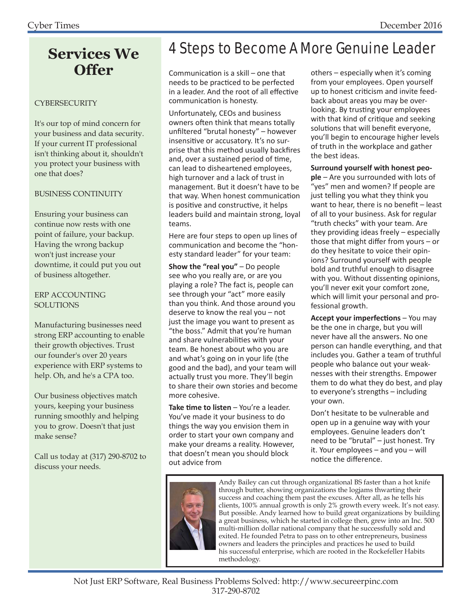### **Services We Offer**

#### CYBERSECURITY

It's our top of mind concern for your business and data security. If your current IT professional isn't thinking about it, shouldn't you protect your business with one that does?

#### BUSINESS CONTINUITY

Ensuring your business can continue now rests with one point of failure, your backup. Having the wrong backup won't just increase your downtime, it could put you out of business altogether.

#### ERP ACCOUNTING **SOLUTIONS**

Manufacturing businesses need strong ERP accounting to enable their growth objectives. Trust our founder's over 20 years experience with ERP systems to help. Oh, and he's a CPA too.

Our business objectives match yours, keeping your business running smoothly and helping you to grow. Doesn't that just make sense?

Call us today at (317) 290-8702 to discuss your needs.

## 4 Steps to Become A More Genuine Leader

Communication is a skill – one that needs to be practiced to be perfected in a leader. And the root of all effective communication is honesty.

Unfortunately, CEOs and business owners often think that means totally unfiltered "brutal honesty" – however insensitive or accusatory. It's no surprise that this method usually backfires and, over a sustained period of time, can lead to disheartened employees, high turnover and a lack of trust in management. But it doesn't have to be that way. When honest communication is positive and constructive, it helps leaders build and maintain strong, loyal teams.

Here are four steps to open up lines of communication and become the "honesty standard leader" for your team:

**Show the "real you"** – Do people see who you really are, or are you playing a role? The fact is, people can see through your "act" more easily than you think. And those around you deserve to know the real you – not just the image you want to present as "the boss." Admit that you're human and share vulnerabilities with your team. Be honest about who you are and what's going on in your life (the good and the bad), and your team will actually trust you more. They'll begin to share their own stories and become more cohesive.

**Take time to listen** – You're a leader. You've made it your business to do things the way you envision them in order to start your own company and make your dreams a reality. However, that doesn't mean you should block out advice from

others – especially when it's coming from your employees. Open yourself up to honest criticism and invite feedback about areas you may be overlooking. By trusting your employees with that kind of critique and seeking solutions that will benefit everyone, you'll begin to encourage higher levels of truth in the workplace and gather the best ideas.

#### **Surround yourself with honest peo-**

**ple** – Are you surrounded with lots of "yes" men and women? If people are just telling you what they think you want to hear, there is no benefit  $-$  least of all to your business. Ask for regular "truth checks" with your team. Are they providing ideas freely – especially those that might differ from yours  $-$  or do they hesitate to voice their opinions? Surround yourself with people bold and truthful enough to disagree with you. Without dissenting opinions, you'll never exit your comfort zone, which will limit your personal and professional growth.

**Accept your imperfections – You may** be the one in charge, but you will never have all the answers. No one person can handle everything, and that includes you. Gather a team of truthful people who balance out your weaknesses with their strengths. Empower them to do what they do best, and play to everyone's strengths – including your own.

Don't hesitate to be vulnerable and open up in a genuine way with your employees. Genuine leaders don't need to be "brutal" – just honest. Try it. Your employees – and you – will notice the difference.



Andy Bailey can cut through organizational BS faster than a hot knife through butter, showing organizations the logjams thwarting their success and coaching them past the excuses. After all, as he tells his clients, 100% annual growth is only 2% growth every week. It's not easy. But possible. Andy learned how to build great organizations by building a great business, which he started in college then, grew into an Inc. 500 multi-million dollar national company that he successfully sold and exited. He founded Petra to pass on to other entrepreneurs, business owners and leaders the principles and practices he used to build his successful enterprise, which are rooted in the Rockefeller Habits methodology.